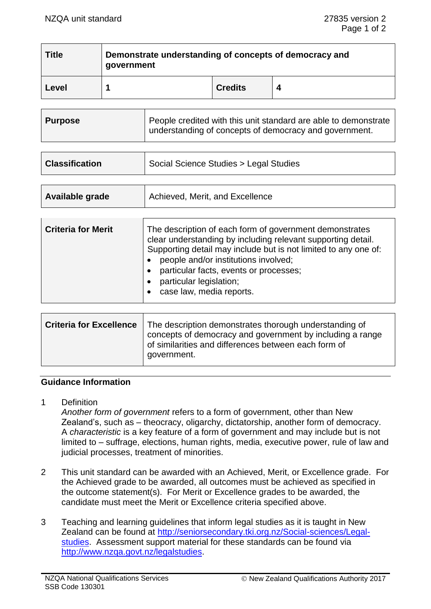| <b>Title</b> | Demonstrate understanding of concepts of democracy and<br>government |                |   |
|--------------|----------------------------------------------------------------------|----------------|---|
| Level        |                                                                      | <b>Credits</b> | 4 |

| understanding of concepts of democracy and government. | <b>Purpose</b> | People credited with this unit standard are able to demonstrate |
|--------------------------------------------------------|----------------|-----------------------------------------------------------------|
|--------------------------------------------------------|----------------|-----------------------------------------------------------------|

| <b>Classification</b> | Social Science Studies > Legal Studies |  |
|-----------------------|----------------------------------------|--|
|                       |                                        |  |
| Available grade       | Achieved, Merit, and Excellence        |  |

| <b>Criteria for Merit</b> | The description of each form of government demonstrates<br>clear understanding by including relevant supporting detail.<br>Supporting detail may include but is not limited to any one of:<br>people and/or institutions involved;<br>particular facts, events or processes; |
|---------------------------|------------------------------------------------------------------------------------------------------------------------------------------------------------------------------------------------------------------------------------------------------------------------------|
|                           | particular legislation;<br>case law, media reports.                                                                                                                                                                                                                          |

| <b>Criteria for Excellence</b> | The description demonstrates thorough understanding of<br>concepts of democracy and government by including a range<br>of similarities and differences between each form of<br>government. |
|--------------------------------|--------------------------------------------------------------------------------------------------------------------------------------------------------------------------------------------|
|--------------------------------|--------------------------------------------------------------------------------------------------------------------------------------------------------------------------------------------|

### **Guidance Information**

1 Definition

*Another form of government* refers to a form of government, other than New Zealand's, such as – theocracy, oligarchy, dictatorship, another form of democracy. A *characteristic* is a key feature of a form of government and may include but is not limited to – suffrage, elections, human rights, media, executive power, rule of law and judicial processes, treatment of minorities.

- 2 This unit standard can be awarded with an Achieved, Merit, or Excellence grade. For the Achieved grade to be awarded, all outcomes must be achieved as specified in the outcome statement(s). For Merit or Excellence grades to be awarded, the candidate must meet the Merit or Excellence criteria specified above.
- 3 Teaching and learning guidelines that inform legal studies as it is taught in New Zealand can be found at [http://seniorsecondary.tki.org.nz/Social-sciences/Legal](http://seniorsecondary.tki.org.nz/Social-sciences/Legal-studies)[studies.](http://seniorsecondary.tki.org.nz/Social-sciences/Legal-studies) Assessment support material for these standards can be found via [http://www.nzqa.govt.nz/legalstudies.](http://www.nzqa.govt.nz/legalstudies)